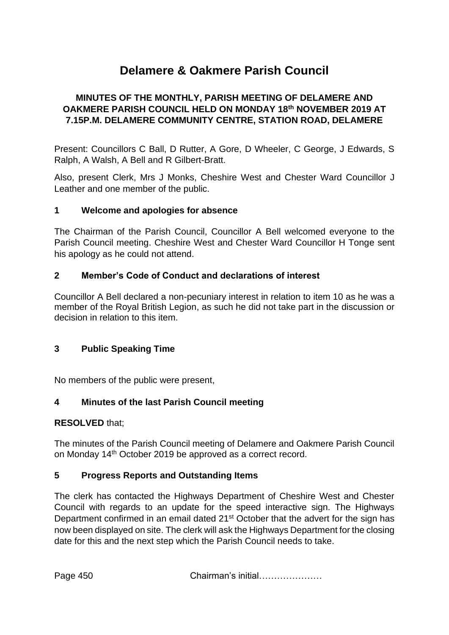# **Delamere & Oakmere Parish Council**

## **MINUTES OF THE MONTHLY, PARISH MEETING OF DELAMERE AND OAKMERE PARISH COUNCIL HELD ON MONDAY 18th NOVEMBER 2019 AT 7.15P.M. DELAMERE COMMUNITY CENTRE, STATION ROAD, DELAMERE**

Present: Councillors C Ball, D Rutter, A Gore, D Wheeler, C George, J Edwards, S Ralph, A Walsh, A Bell and R Gilbert-Bratt.

Also, present Clerk, Mrs J Monks, Cheshire West and Chester Ward Councillor J Leather and one member of the public.

#### **1 Welcome and apologies for absence**

The Chairman of the Parish Council, Councillor A Bell welcomed everyone to the Parish Council meeting. Cheshire West and Chester Ward Councillor H Tonge sent his apology as he could not attend.

#### **2 Member's Code of Conduct and declarations of interest**

Councillor A Bell declared a non-pecuniary interest in relation to item 10 as he was a member of the Royal British Legion, as such he did not take part in the discussion or decision in relation to this item.

#### **3 Public Speaking Time**

No members of the public were present,

#### **4 Minutes of the last Parish Council meeting**

#### **RESOLVED** that;

The minutes of the Parish Council meeting of Delamere and Oakmere Parish Council on Monday 14th October 2019 be approved as a correct record.

#### **5 Progress Reports and Outstanding Items**

The clerk has contacted the Highways Department of Cheshire West and Chester Council with regards to an update for the speed interactive sign. The Highways Department confirmed in an email dated 21<sup>st</sup> October that the advert for the sign has now been displayed on site. The clerk will ask the Highways Department for the closing date for this and the next step which the Parish Council needs to take.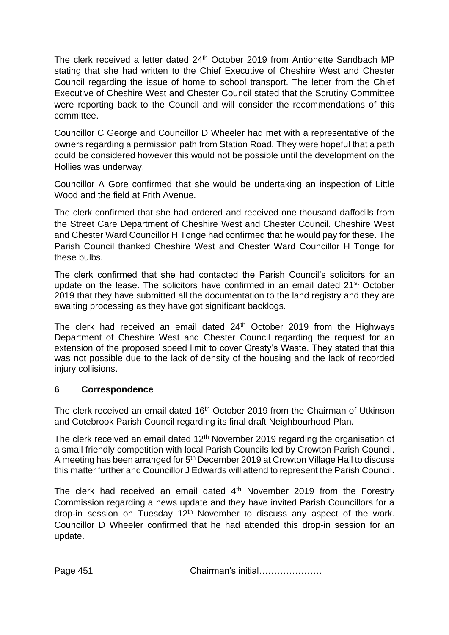The clerk received a letter dated 24<sup>th</sup> October 2019 from Antionette Sandbach MP stating that she had written to the Chief Executive of Cheshire West and Chester Council regarding the issue of home to school transport. The letter from the Chief Executive of Cheshire West and Chester Council stated that the Scrutiny Committee were reporting back to the Council and will consider the recommendations of this committee.

Councillor C George and Councillor D Wheeler had met with a representative of the owners regarding a permission path from Station Road. They were hopeful that a path could be considered however this would not be possible until the development on the Hollies was underway.

Councillor A Gore confirmed that she would be undertaking an inspection of Little Wood and the field at Frith Avenue.

The clerk confirmed that she had ordered and received one thousand daffodils from the Street Care Department of Cheshire West and Chester Council. Cheshire West and Chester Ward Councillor H Tonge had confirmed that he would pay for these. The Parish Council thanked Cheshire West and Chester Ward Councillor H Tonge for these bulbs.

The clerk confirmed that she had contacted the Parish Council's solicitors for an update on the lease. The solicitors have confirmed in an email dated 21<sup>st</sup> October 2019 that they have submitted all the documentation to the land registry and they are awaiting processing as they have got significant backlogs.

The clerk had received an email dated 24<sup>th</sup> October 2019 from the Highways Department of Cheshire West and Chester Council regarding the request for an extension of the proposed speed limit to cover Gresty's Waste. They stated that this was not possible due to the lack of density of the housing and the lack of recorded injury collisions.

#### **6 Correspondence**

The clerk received an email dated 16<sup>th</sup> October 2019 from the Chairman of Utkinson and Cotebrook Parish Council regarding its final draft Neighbourhood Plan.

The clerk received an email dated 12<sup>th</sup> November 2019 regarding the organisation of a small friendly competition with local Parish Councils led by Crowton Parish Council. A meeting has been arranged for 5<sup>th</sup> December 2019 at Crowton Village Hall to discuss this matter further and Councillor J Edwards will attend to represent the Parish Council.

The clerk had received an email dated  $4<sup>th</sup>$  November 2019 from the Forestry Commission regarding a news update and they have invited Parish Councillors for a drop-in session on Tuesday  $12<sup>th</sup>$  November to discuss any aspect of the work. Councillor D Wheeler confirmed that he had attended this drop-in session for an update.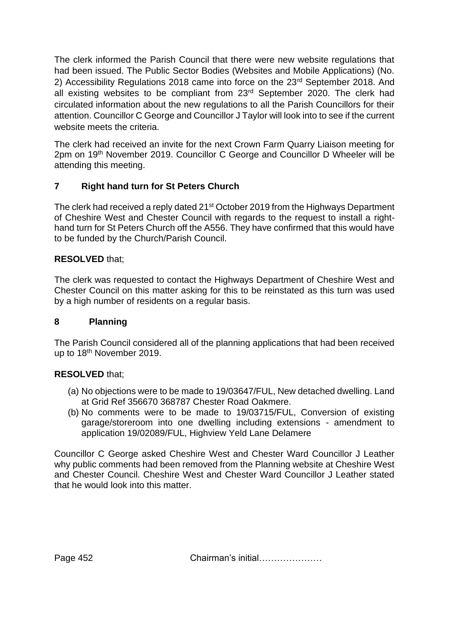The clerk informed the Parish Council that there were new website regulations that had been issued. The Public Sector Bodies (Websites and Mobile Applications) (No. 2) Accessibility Regulations 2018 came into force on the 23<sup>rd</sup> September 2018. And all existing websites to be compliant from 23rd September 2020. The clerk had circulated information about the new regulations to all the Parish Councillors for their attention. Councillor C George and Councillor J Taylor will look into to see if the current website meets the criteria.

The clerk had received an invite for the next Crown Farm Quarry Liaison meeting for 2pm on 19th November 2019. Councillor C George and Councillor D Wheeler will be attending this meeting.

# **7 Right hand turn for St Peters Church**

The clerk had received a reply dated 21<sup>st</sup> October 2019 from the Highways Department of Cheshire West and Chester Council with regards to the request to install a righthand turn for St Peters Church off the A556. They have confirmed that this would have to be funded by the Church/Parish Council.

## **RESOLVED** that;

The clerk was requested to contact the Highways Department of Cheshire West and Chester Council on this matter asking for this to be reinstated as this turn was used by a high number of residents on a regular basis.

#### **8 Planning**

The Parish Council considered all of the planning applications that had been received up to 18<sup>th</sup> November 2019.

#### **RESOLVED** that;

- (a) No objections were to be made to 19/03647/FUL, New detached dwelling. Land at Grid Ref 356670 368787 Chester Road Oakmere.
- (b) No comments were to be made to 19/03715/FUL, Conversion of existing garage/storeroom into one dwelling including extensions - amendment to application 19/02089/FUL, Highview Yeld Lane Delamere

Councillor C George asked Cheshire West and Chester Ward Councillor J Leather why public comments had been removed from the Planning website at Cheshire West and Chester Council. Cheshire West and Chester Ward Councillor J Leather stated that he would look into this matter.

Page 452 Chairman's initial…………………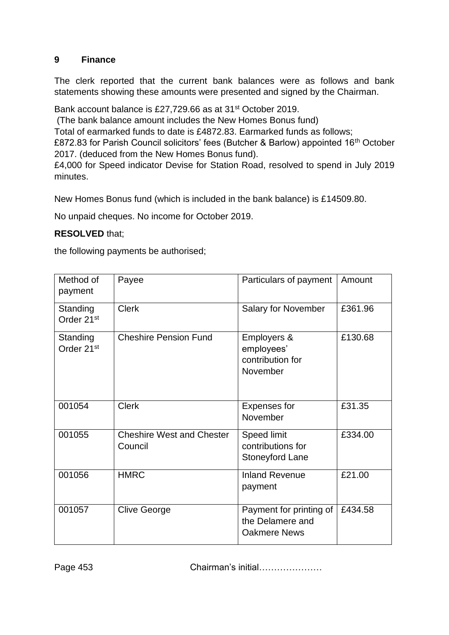#### **9 Finance**

The clerk reported that the current bank balances were as follows and bank statements showing these amounts were presented and signed by the Chairman.

Bank account balance is £27,729.66 as at 31st October 2019.

(The bank balance amount includes the New Homes Bonus fund)

Total of earmarked funds to date is £4872.83. Earmarked funds as follows;

£872.83 for Parish Council solicitors' fees (Butcher & Barlow) appointed 16<sup>th</sup> October 2017. (deduced from the New Homes Bonus fund).

£4,000 for Speed indicator Devise for Station Road, resolved to spend in July 2019 minutes.

New Homes Bonus fund (which is included in the bank balance) is £14509.80.

No unpaid cheques. No income for October 2019.

# **RESOLVED** that;

the following payments be authorised;

| Method of<br>payment               | Payee                                       | Particulars of payment                                             | Amount  |
|------------------------------------|---------------------------------------------|--------------------------------------------------------------------|---------|
| Standing<br>Order 21 <sup>st</sup> | <b>Clerk</b>                                | Salary for November                                                | £361.96 |
| Standing<br>Order 21 <sup>st</sup> | <b>Cheshire Pension Fund</b>                | Employers &<br>employees'<br>contribution for<br>November          | £130.68 |
| 001054                             | <b>Clerk</b>                                | <b>Expenses for</b><br>November                                    | £31.35  |
| 001055                             | <b>Cheshire West and Chester</b><br>Council | Speed limit<br>contributions for<br><b>Stoneyford Lane</b>         | £334.00 |
| 001056                             | <b>HMRC</b>                                 | <b>Inland Revenue</b><br>payment                                   | £21.00  |
| 001057                             | <b>Clive George</b>                         | Payment for printing of<br>the Delamere and<br><b>Oakmere News</b> | £434.58 |

Page 453 **Chairman's initial…………………**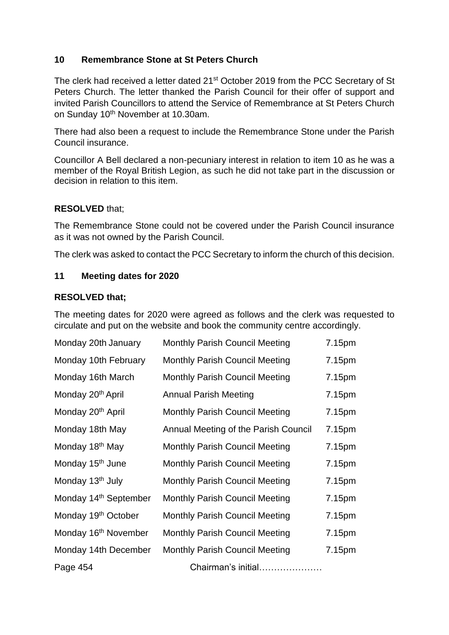#### **10 Remembrance Stone at St Peters Church**

The clerk had received a letter dated 21st October 2019 from the PCC Secretary of St Peters Church. The letter thanked the Parish Council for their offer of support and invited Parish Councillors to attend the Service of Remembrance at St Peters Church on Sunday 10th November at 10.30am.

There had also been a request to include the Remembrance Stone under the Parish Council insurance.

Councillor A Bell declared a non-pecuniary interest in relation to item 10 as he was a member of the Royal British Legion, as such he did not take part in the discussion or decision in relation to this item.

#### **RESOLVED** that;

The Remembrance Stone could not be covered under the Parish Council insurance as it was not owned by the Parish Council.

The clerk was asked to contact the PCC Secretary to inform the church of this decision.

#### **11 Meeting dates for 2020**

#### **RESOLVED that;**

The meeting dates for 2020 were agreed as follows and the clerk was requested to circulate and put on the website and book the community centre accordingly.

| Monday 20th January               | <b>Monthly Parish Council Meeting</b> | 7.15pm |
|-----------------------------------|---------------------------------------|--------|
| Monday 10th February              | <b>Monthly Parish Council Meeting</b> | 7.15pm |
| Monday 16th March                 | <b>Monthly Parish Council Meeting</b> | 7.15pm |
| Monday 20 <sup>th</sup> April     | <b>Annual Parish Meeting</b>          | 7.15pm |
| Monday 20 <sup>th</sup> April     | <b>Monthly Parish Council Meeting</b> | 7.15pm |
| Monday 18th May                   | Annual Meeting of the Parish Council  | 7.15pm |
| Monday 18 <sup>th</sup> May       | <b>Monthly Parish Council Meeting</b> | 7.15pm |
| Monday 15 <sup>th</sup> June      | <b>Monthly Parish Council Meeting</b> | 7.15pm |
| Monday 13 <sup>th</sup> July      | <b>Monthly Parish Council Meeting</b> | 7.15pm |
| Monday 14 <sup>th</sup> September | <b>Monthly Parish Council Meeting</b> | 7.15pm |
| Monday 19 <sup>th</sup> October   | <b>Monthly Parish Council Meeting</b> | 7.15pm |
| Monday 16 <sup>th</sup> November  | <b>Monthly Parish Council Meeting</b> | 7.15pm |
| Monday 14th December              | <b>Monthly Parish Council Meeting</b> | 7.15pm |
| Page 454                          | Chairman's initial                    |        |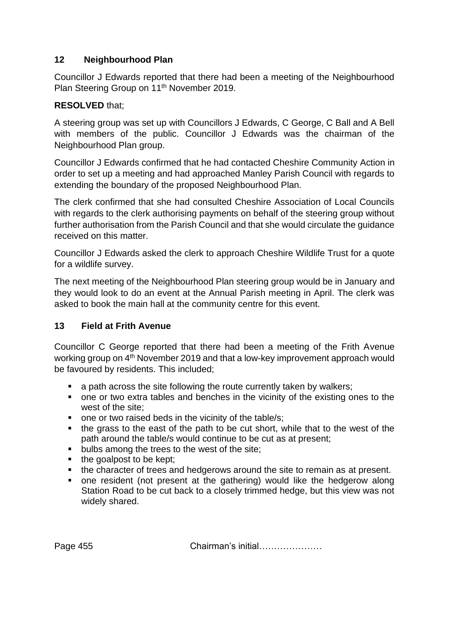## **12 Neighbourhood Plan**

Councillor J Edwards reported that there had been a meeting of the Neighbourhood Plan Steering Group on 11<sup>th</sup> November 2019.

#### **RESOLVED** that;

A steering group was set up with Councillors J Edwards, C George, C Ball and A Bell with members of the public. Councillor J Edwards was the chairman of the Neighbourhood Plan group.

Councillor J Edwards confirmed that he had contacted Cheshire Community Action in order to set up a meeting and had approached Manley Parish Council with regards to extending the boundary of the proposed Neighbourhood Plan.

The clerk confirmed that she had consulted Cheshire Association of Local Councils with regards to the clerk authorising payments on behalf of the steering group without further authorisation from the Parish Council and that she would circulate the guidance received on this matter.

Councillor J Edwards asked the clerk to approach Cheshire Wildlife Trust for a quote for a wildlife survey.

The next meeting of the Neighbourhood Plan steering group would be in January and they would look to do an event at the Annual Parish meeting in April. The clerk was asked to book the main hall at the community centre for this event.

#### **13 Field at Frith Avenue**

Councillor C George reported that there had been a meeting of the Frith Avenue working group on 4<sup>th</sup> November 2019 and that a low-key improvement approach would be favoured by residents. This included;

- a path across the site following the route currently taken by walkers:
- one or two extra tables and benches in the vicinity of the existing ones to the west of the site;
- one or two raised beds in the vicinity of the table/s;
- the grass to the east of the path to be cut short, while that to the west of the path around the table/s would continue to be cut as at present;
- bulbs among the trees to the west of the site;
- the goalpost to be kept;
- the character of trees and hedgerows around the site to remain as at present.
- one resident (not present at the gathering) would like the hedgerow along Station Road to be cut back to a closely trimmed hedge, but this view was not widely shared.

Page 455 **Chairman's initial………………**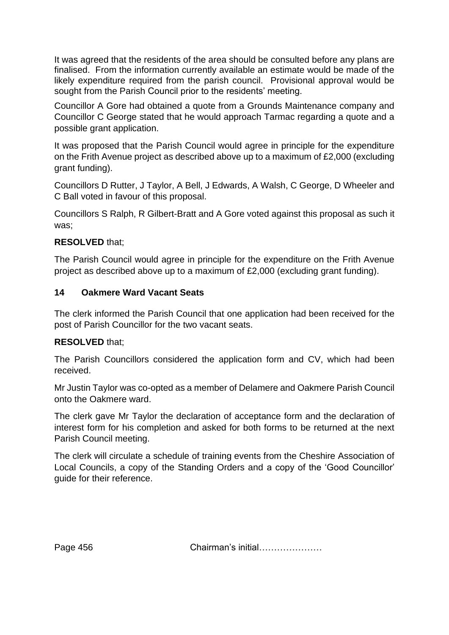It was agreed that the residents of the area should be consulted before any plans are finalised. From the information currently available an estimate would be made of the likely expenditure required from the parish council. Provisional approval would be sought from the Parish Council prior to the residents' meeting.

Councillor A Gore had obtained a quote from a Grounds Maintenance company and Councillor C George stated that he would approach Tarmac regarding a quote and a possible grant application.

It was proposed that the Parish Council would agree in principle for the expenditure on the Frith Avenue project as described above up to a maximum of £2,000 (excluding grant funding).

Councillors D Rutter, J Taylor, A Bell, J Edwards, A Walsh, C George, D Wheeler and C Ball voted in favour of this proposal.

Councillors S Ralph, R Gilbert-Bratt and A Gore voted against this proposal as such it was;

## **RESOLVED** that;

The Parish Council would agree in principle for the expenditure on the Frith Avenue project as described above up to a maximum of £2,000 (excluding grant funding).

#### **14 Oakmere Ward Vacant Seats**

The clerk informed the Parish Council that one application had been received for the post of Parish Councillor for the two vacant seats.

#### **RESOLVED** that;

The Parish Councillors considered the application form and CV, which had been received.

Mr Justin Taylor was co-opted as a member of Delamere and Oakmere Parish Council onto the Oakmere ward.

The clerk gave Mr Taylor the declaration of acceptance form and the declaration of interest form for his completion and asked for both forms to be returned at the next Parish Council meeting.

The clerk will circulate a schedule of training events from the Cheshire Association of Local Councils, a copy of the Standing Orders and a copy of the 'Good Councillor' guide for their reference.

Page 456 **Chairman's initial………………**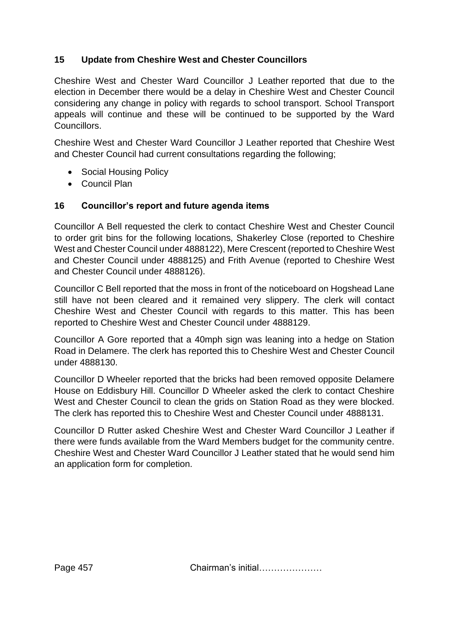# **15 Update from Cheshire West and Chester Councillors**

Cheshire West and Chester Ward Councillor J Leather reported that due to the election in December there would be a delay in Cheshire West and Chester Council considering any change in policy with regards to school transport. School Transport appeals will continue and these will be continued to be supported by the Ward Councillors.

Cheshire West and Chester Ward Councillor J Leather reported that Cheshire West and Chester Council had current consultations regarding the following;

- Social Housing Policy
- Council Plan

# **16 Councillor's report and future agenda items**

Councillor A Bell requested the clerk to contact Cheshire West and Chester Council to order grit bins for the following locations, Shakerley Close (reported to Cheshire West and Chester Council under 4888122), Mere Crescent (reported to Cheshire West and Chester Council under 4888125) and Frith Avenue (reported to Cheshire West and Chester Council under 4888126).

Councillor C Bell reported that the moss in front of the noticeboard on Hogshead Lane still have not been cleared and it remained very slippery. The clerk will contact Cheshire West and Chester Council with regards to this matter. This has been reported to Cheshire West and Chester Council under 4888129.

Councillor A Gore reported that a 40mph sign was leaning into a hedge on Station Road in Delamere. The clerk has reported this to Cheshire West and Chester Council under 4888130.

Councillor D Wheeler reported that the bricks had been removed opposite Delamere House on Eddisbury Hill. Councillor D Wheeler asked the clerk to contact Cheshire West and Chester Council to clean the grids on Station Road as they were blocked. The clerk has reported this to Cheshire West and Chester Council under 4888131.

Councillor D Rutter asked Cheshire West and Chester Ward Councillor J Leather if there were funds available from the Ward Members budget for the community centre. Cheshire West and Chester Ward Councillor J Leather stated that he would send him an application form for completion.